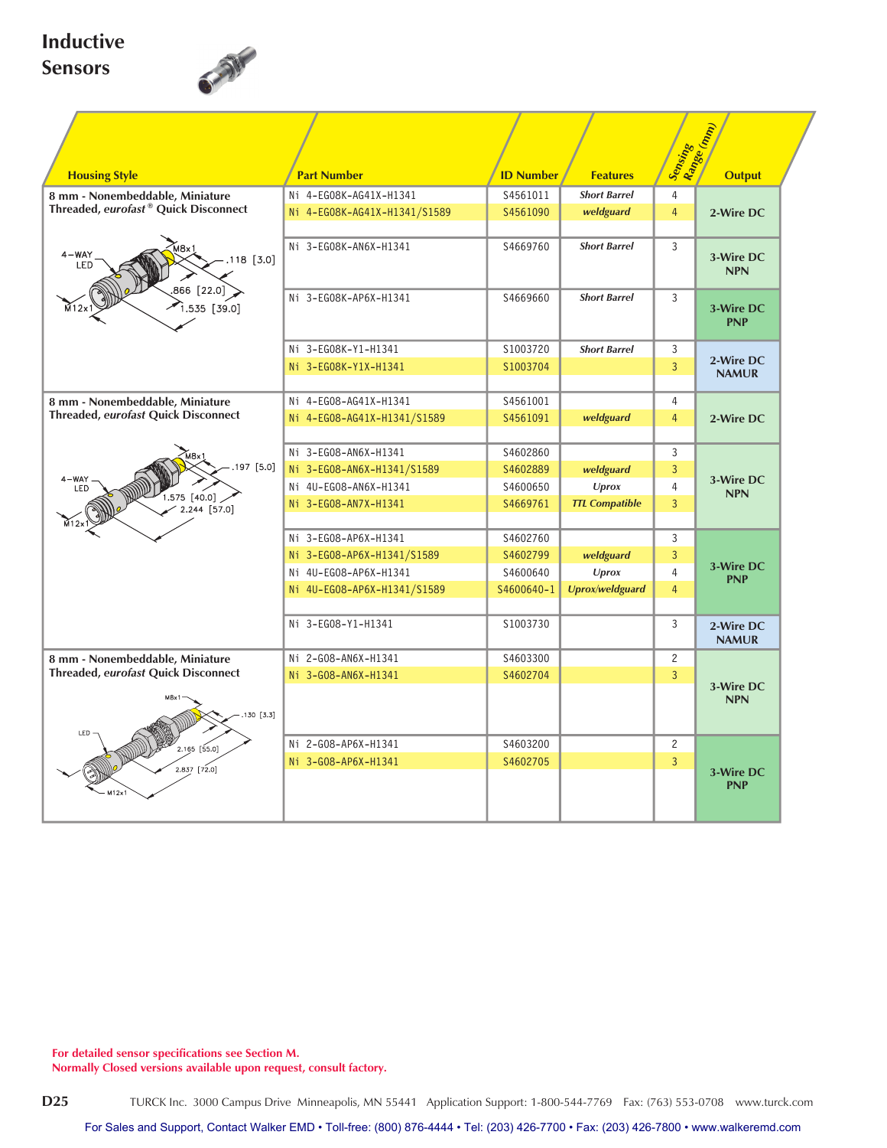## **Inductive Sensors**



|                                            |                              |                  |                       | Sensing<br>Range (mm)   |                                             |  |  |  |
|--------------------------------------------|------------------------------|------------------|-----------------------|-------------------------|---------------------------------------------|--|--|--|
|                                            |                              |                  |                       |                         |                                             |  |  |  |
| <b>Housing Style</b>                       | <b>Part Number</b>           | <b>ID Number</b> | <b>Features</b>       |                         | <b>Output</b>                               |  |  |  |
| 8 mm - Nonembeddable, Miniature            | Ni 4-EG08K-AG41X-H1341       | S4561011         | <b>Short Barrel</b>   | $\overline{4}$          |                                             |  |  |  |
| Threaded, eurofast® Quick Disconnect       | Ni 4-EG08K-AG41X-H1341/S1589 | S4561090         | weldguard             | $\overline{4}$          | 2-Wire DC                                   |  |  |  |
| $4 - WAY$<br>$.118$ [3.0]<br>LED           | Ni 3-EG08K-AN6X-H1341        | S4669760         | <b>Short Barrel</b>   | 3                       | 3-Wire DC<br><b>NPN</b>                     |  |  |  |
| 866 [22.0]<br>$[3.535$ $[39.0]$            | Ni 3-EG08K-AP6X-H1341        | S4669660         | <b>Short Barrel</b>   | 3                       | 3-Wire DC<br><b>PNP</b>                     |  |  |  |
|                                            | Ni 3-EG08K-Y1-H1341          | \$1003720        | <b>Short Barrel</b>   | 3                       |                                             |  |  |  |
|                                            | Ni 3-EG08K-Y1X-H1341         | S1003704         |                       | $\overline{3}$          | 2-Wire DC<br><b>NAMUR</b>                   |  |  |  |
|                                            |                              |                  |                       |                         |                                             |  |  |  |
| 8 mm - Nonembeddable, Miniature            | Ni 4-EG08-AG41X-H1341        | S4561001         |                       | $\overline{4}$          |                                             |  |  |  |
| Threaded, eurofast Quick Disconnect        | Ni 4-EG08-AG41X-H1341/S1589  | S4561091         | weldguard             | $\overline{4}$          | 2-Wire DC                                   |  |  |  |
|                                            | Ni 3-EG08-AN6X-H1341         | S4602860         |                       |                         |                                             |  |  |  |
| $.197$ [5.0]                               | Ni 3-EG08-AN6X-H1341/S1589   | S4602889         | weldguard             | $\overline{3}$          |                                             |  |  |  |
| 4-WAY<br>LED                               | Ni 4U-EG08-AN6X-H1341        | S4600650         | <b>Uprox</b>          | $\overline{4}$          | 3-Wire DC<br><b>NPN</b>                     |  |  |  |
| $1.575$ [40.0]<br>$2.244$ [57.0]           | Ni 3-EG08-AN7X-H1341         | S4669761         | <b>TTL Compatible</b> | $\overline{3}$          |                                             |  |  |  |
|                                            |                              |                  |                       |                         |                                             |  |  |  |
|                                            | Ni 3-EG08-AP6X-H1341         | S4602760         |                       | 3                       |                                             |  |  |  |
|                                            | Ni 3-EG08-AP6X-H1341/S1589   | S4602799         | weldguard             | $\overline{3}$          | 3-Wire DC                                   |  |  |  |
|                                            | Ni 4U-EG08-AP6X-H1341        | S4600640         | <b>Uprox</b>          | 4<br><b>PNP</b>         |                                             |  |  |  |
|                                            | Ni 4U-EG08-AP6X-H1341/S1589  | S4600640-1       | Uprox/weldguard       |                         | $\overline{4}$                              |  |  |  |
|                                            | Ni 3-EG08-Y1-H1341           | S1003730         |                       | 3                       | 2-Wire DC<br><b>NAMUR</b>                   |  |  |  |
| 8 mm - Nonembeddable, Miniature            | Ni 2-G08-AN6X-H1341          | S4603300         |                       | $\overline{c}$          |                                             |  |  |  |
| <b>Threaded, eurofast Quick Disconnect</b> | Ni 3-G08-AN6X-H1341          | S4602704         |                       | $\overline{3}$          |                                             |  |  |  |
| .130 [3.3]                                 |                              |                  |                       | 3-Wire DC<br><b>NPN</b> |                                             |  |  |  |
| LED                                        |                              |                  |                       |                         |                                             |  |  |  |
| 2.165 [55.0]                               | Ni 2-G08-AP6X-H1341          | S4603200         |                       |                         | $\mathbf{2}$<br>$\overline{3}$<br>3-Wire DC |  |  |  |
| $2.837$ [72.0]                             | Ni 3-G08-AP6X-H1341          | S4602705         |                       |                         |                                             |  |  |  |
|                                            |                              |                  |                       |                         | <b>PNP</b>                                  |  |  |  |
|                                            |                              |                  |                       |                         |                                             |  |  |  |

**For detailed sensor specifications see Section M.**

**Normally Closed versions available upon request, consult factory.**

**D25** TURCK Inc. 3000 Campus Drive Minneapolis, MN 55441 Application Support: 1-800-544-7769 Fax: (763) 553-0708 www.turck.com